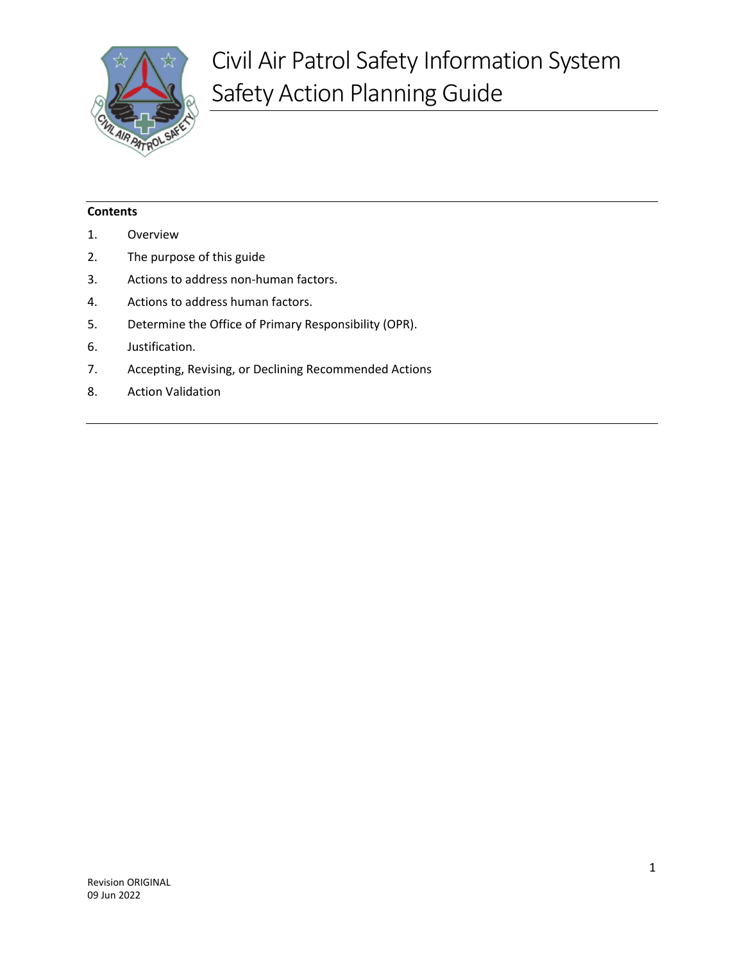

## **Contents**

- 1. [Overview](#page-2-0)
- 2. [The purpose of this guide](#page-2-1)
- 3. [Actions to address non-human factors.](#page-2-2)
- 4. [Actions to address human factors.](#page-3-0)
- 5. [Determine the Office of Primary Responsibility \(OPR\).](#page-10-0)
- 6. [Justification.](#page-10-1)
- 7. [Accepting, Revising, or Declining Recommended Actions](#page-11-0)
- 8. [Action Validation](#page-11-1)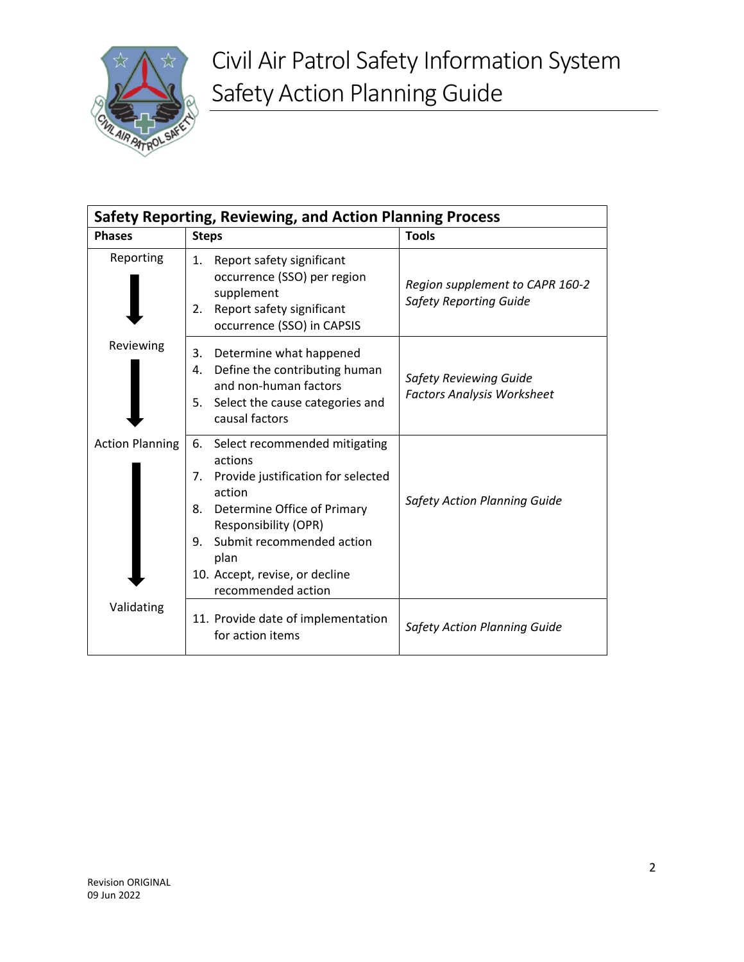

| Safety Reporting, Reviewing, and Action Planning Process |                                                                                                                                                                                                                                                                      |                                                                    |
|----------------------------------------------------------|----------------------------------------------------------------------------------------------------------------------------------------------------------------------------------------------------------------------------------------------------------------------|--------------------------------------------------------------------|
| <b>Phases</b>                                            | <b>Steps</b>                                                                                                                                                                                                                                                         | <b>Tools</b>                                                       |
| Reporting                                                | Report safety significant<br>1.<br>occurrence (SSO) per region<br>supplement<br>Report safety significant<br>2.<br>occurrence (SSO) in CAPSIS                                                                                                                        | Region supplement to CAPR 160-2<br><b>Safety Reporting Guide</b>   |
| Reviewing                                                | Determine what happened<br>3.<br>Define the contributing human<br>4.<br>and non-human factors<br>Select the cause categories and<br>5.<br>causal factors                                                                                                             | <b>Safety Reviewing Guide</b><br><b>Factors Analysis Worksheet</b> |
| <b>Action Planning</b>                                   | 6.<br>Select recommended mitigating<br>actions<br>Provide justification for selected<br>7.<br>action<br>Determine Office of Primary<br>8.<br>Responsibility (OPR)<br>Submit recommended action<br>9.<br>plan<br>10. Accept, revise, or decline<br>recommended action | <b>Safety Action Planning Guide</b>                                |
| Validating                                               | 11. Provide date of implementation<br>for action items                                                                                                                                                                                                               | <b>Safety Action Planning Guide</b>                                |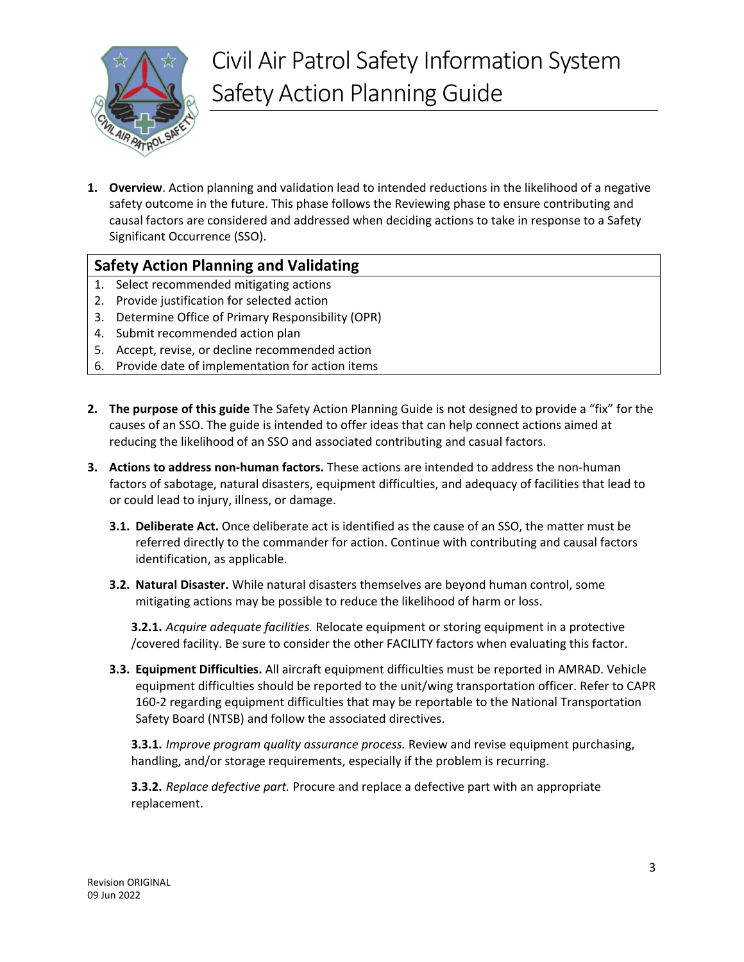

<span id="page-2-0"></span>**1. Overview**. Action planning and validation lead to intended reductions in the likelihood of a negative safety outcome in the future. This phase follows the Reviewing phase to ensure contributing and causal factors are considered and addressed when deciding actions to take in response to a Safety Significant Occurrence (SSO).

## **Safety Action Planning and Validating**

- 1. Select recommended mitigating actions
- 2. Provide justification for selected action
- 3. Determine Office of Primary Responsibility (OPR)
- 4. Submit recommended action plan
- 5. Accept, revise, or decline recommended action
- 6. Provide date of implementation for action items
- <span id="page-2-1"></span>**2. The purpose of this guide** The Safety Action Planning Guide is not designed to provide a "fix" for the causes of an SSO. The guide is intended to offer ideas that can help connect actions aimed at reducing the likelihood of an SSO and associated contributing and casual factors.
- <span id="page-2-2"></span>**3. Actions to address non-human factors.** These actions are intended to address the non-human factors of sabotage, natural disasters, equipment difficulties, and adequacy of facilities that lead to or could lead to injury, illness, or damage.
	- **3.1. Deliberate Act.** Once deliberate act is identified as the cause of an SSO, the matter must be referred directly to the commander for action. Continue with contributing and causal factors identification, as applicable.
	- **3.2. Natural Disaster.** While natural disasters themselves are beyond human control, some mitigating actions may be possible to reduce the likelihood of harm or loss.

**3.2.1.** *Acquire adequate facilities.* Relocate equipment or storing equipment in a protective /covered facility. Be sure to consider the other FACILITY factors when evaluating this factor.

**3.3. Equipment Difficulties.** All aircraft equipment difficulties must be reported in AMRAD. Vehicle equipment difficulties should be reported to the unit/wing transportation officer. Refer to CAPR 160-2 regarding equipment difficulties that may be reportable to the National Transportation Safety Board (NTSB) and follow the associated directives.

**3.3.1.** *Improve program quality assurance process.* Review and revise equipment purchasing, handling, and/or storage requirements, especially if the problem is recurring.

**3.3.2.** *Replace defective part.* Procure and replace a defective part with an appropriate replacement.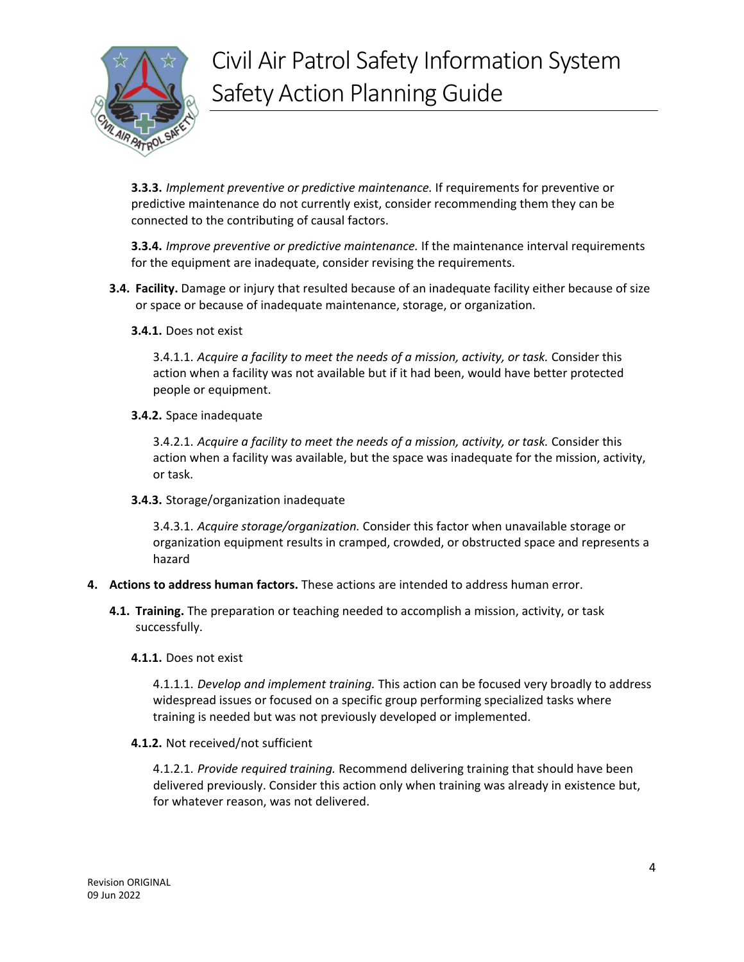

**3.3.3.** *Implement preventive or predictive maintenance.* If requirements for preventive or predictive maintenance do not currently exist, consider recommending them they can be connected to the contributing of causal factors.

**3.3.4.** *Improve preventive or predictive maintenance.* If the maintenance interval requirements for the equipment are inadequate, consider revising the requirements.

- **3.4. Facility.** Damage or injury that resulted because of an inadequate facility either because of size or space or because of inadequate maintenance, storage, or organization.
	- **3.4.1.** Does not exist

3.4.1.1. *Acquire a facility to meet the needs of a mission, activity, or task.* Consider this action when a facility was not available but if it had been, would have better protected people or equipment.

**3.4.2.** Space inadequate

3.4.2.1. *Acquire a facility to meet the needs of a mission, activity, or task.* Consider this action when a facility was available, but the space was inadequate for the mission, activity, or task.

**3.4.3.** Storage/organization inadequate

3.4.3.1. *Acquire storage/organization.* Consider this factor when unavailable storage or organization equipment results in cramped, crowded, or obstructed space and represents a hazard

- <span id="page-3-0"></span>**4. Actions to address human factors.** These actions are intended to address human error.
	- **4.1. Training.** The preparation or teaching needed to accomplish a mission, activity, or task successfully.
		- **4.1.1.** Does not exist

4.1.1.1. *Develop and implement training.* This action can be focused very broadly to address widespread issues or focused on a specific group performing specialized tasks where training is needed but was not previously developed or implemented.

**4.1.2.** Not received/not sufficient

4.1.2.1. *Provide required training.* Recommend delivering training that should have been delivered previously. Consider this action only when training was already in existence but, for whatever reason, was not delivered.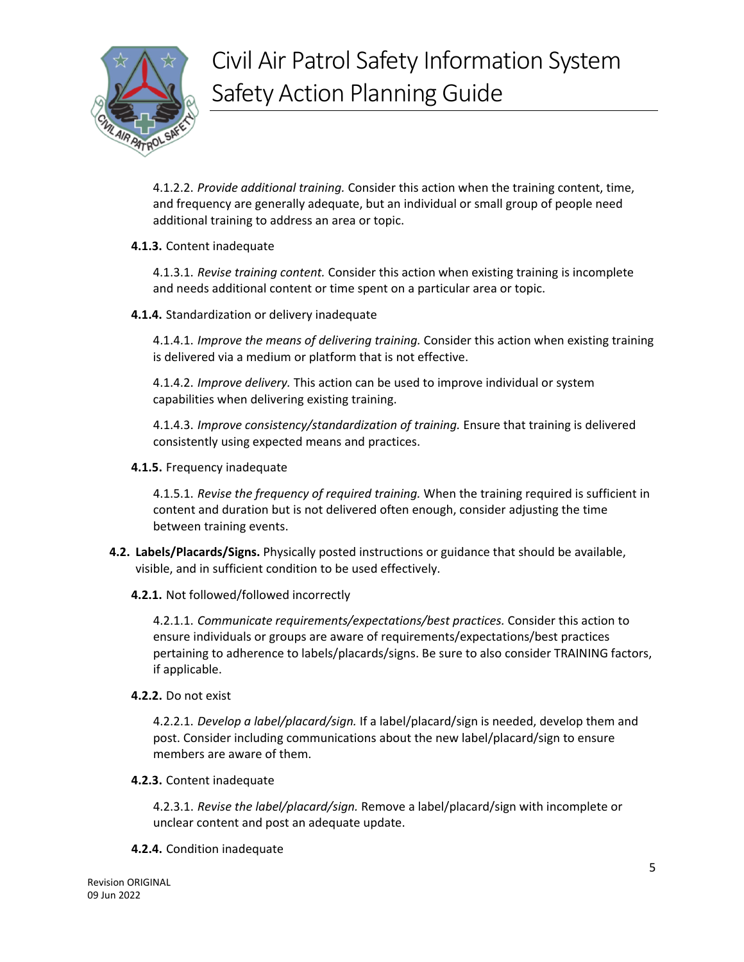

4.1.2.2. *Provide additional training.* Consider this action when the training content, time, and frequency are generally adequate, but an individual or small group of people need additional training to address an area or topic.

**4.1.3.** Content inadequate

4.1.3.1. *Revise training content.* Consider this action when existing training is incomplete and needs additional content or time spent on a particular area or topic.

**4.1.4.** Standardization or delivery inadequate

4.1.4.1. *Improve the means of delivering training.* Consider this action when existing training is delivered via a medium or platform that is not effective.

4.1.4.2. *Improve delivery.* This action can be used to improve individual or system capabilities when delivering existing training.

4.1.4.3. *Improve consistency/standardization of training.* Ensure that training is delivered consistently using expected means and practices.

**4.1.5.** Frequency inadequate

4.1.5.1. *Revise the frequency of required training.* When the training required is sufficient in content and duration but is not delivered often enough, consider adjusting the time between training events.

- **4.2. Labels/Placards/Signs.** Physically posted instructions or guidance that should be available, visible, and in sufficient condition to be used effectively.
	- **4.2.1.** Not followed/followed incorrectly

4.2.1.1. *Communicate requirements/expectations/best practices.* Consider this action to ensure individuals or groups are aware of requirements/expectations/best practices pertaining to adherence to labels/placards/signs. Be sure to also consider TRAINING factors, if applicable.

**4.2.2.** Do not exist

4.2.2.1. *Develop a label/placard/sign.* If a label/placard/sign is needed, develop them and post. Consider including communications about the new label/placard/sign to ensure members are aware of them.

### **4.2.3.** Content inadequate

4.2.3.1. *Revise the label/placard/sign.* Remove a label/placard/sign with incomplete or unclear content and post an adequate update.

### **4.2.4.** Condition inadequate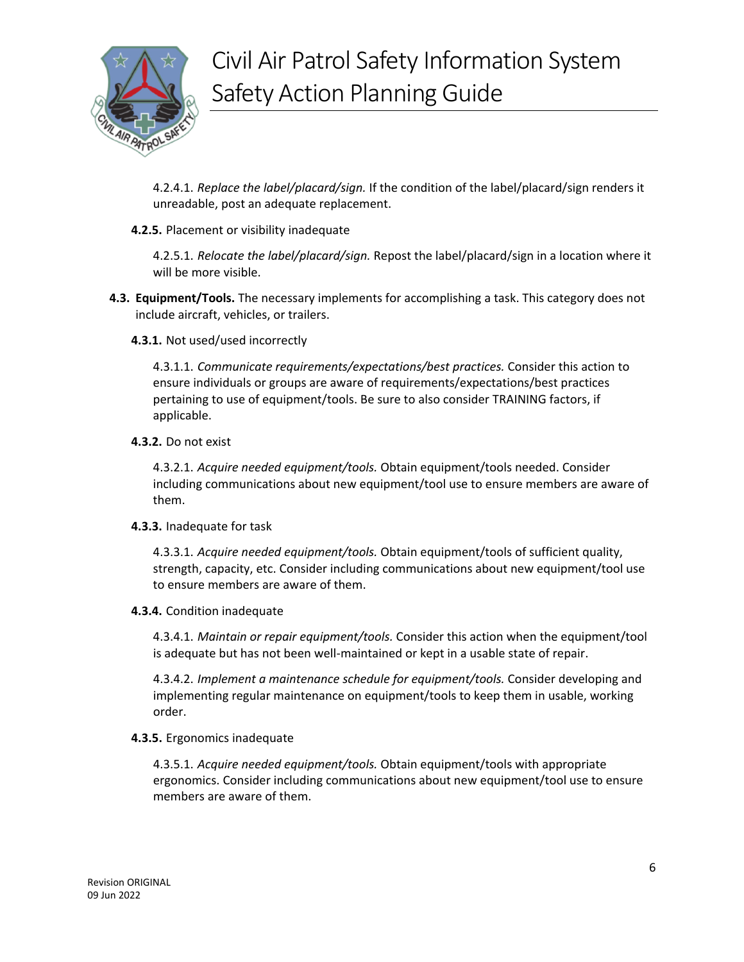

4.2.4.1. *Replace the label/placard/sign.* If the condition of the label/placard/sign renders it unreadable, post an adequate replacement.

**4.2.5.** Placement or visibility inadequate

4.2.5.1. *Relocate the label/placard/sign.* Repost the label/placard/sign in a location where it will be more visible.

- **4.3. Equipment/Tools.** The necessary implements for accomplishing a task. This category does not include aircraft, vehicles, or trailers.
	- **4.3.1.** Not used/used incorrectly

4.3.1.1. *Communicate requirements/expectations/best practices.* Consider this action to ensure individuals or groups are aware of requirements/expectations/best practices pertaining to use of equipment/tools. Be sure to also consider TRAINING factors, if applicable.

**4.3.2.** Do not exist

4.3.2.1. *Acquire needed equipment/tools.* Obtain equipment/tools needed. Consider including communications about new equipment/tool use to ensure members are aware of them.

**4.3.3.** Inadequate for task

4.3.3.1. *Acquire needed equipment/tools.* Obtain equipment/tools of sufficient quality, strength, capacity, etc. Consider including communications about new equipment/tool use to ensure members are aware of them.

**4.3.4.** Condition inadequate

4.3.4.1. *Maintain or repair equipment/tools.* Consider this action when the equipment/tool is adequate but has not been well-maintained or kept in a usable state of repair.

4.3.4.2. *Implement a maintenance schedule for equipment/tools.* Consider developing and implementing regular maintenance on equipment/tools to keep them in usable, working order.

### **4.3.5.** Ergonomics inadequate

4.3.5.1. *Acquire needed equipment/tools.* Obtain equipment/tools with appropriate ergonomics. Consider including communications about new equipment/tool use to ensure members are aware of them.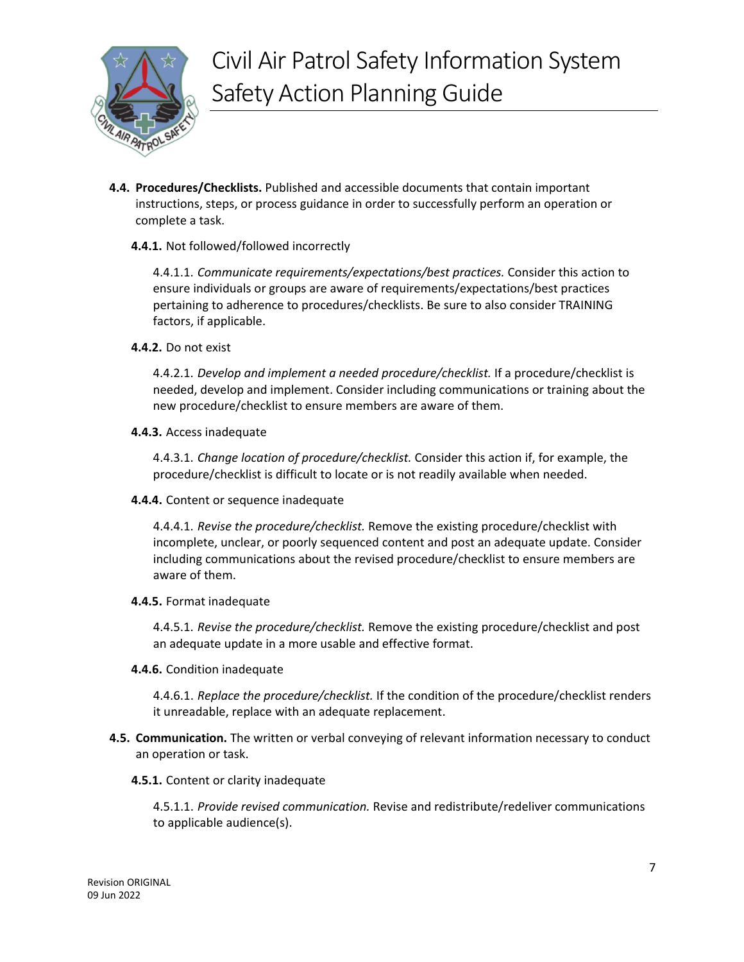

**4.4. Procedures/Checklists.** Published and accessible documents that contain important instructions, steps, or process guidance in order to successfully perform an operation or complete a task.

#### **4.4.1.** Not followed/followed incorrectly

4.4.1.1. *Communicate requirements/expectations/best practices.* Consider this action to ensure individuals or groups are aware of requirements/expectations/best practices pertaining to adherence to procedures/checklists. Be sure to also consider TRAINING factors, if applicable.

**4.4.2.** Do not exist

4.4.2.1. *Develop and implement a needed procedure/checklist.* If a procedure/checklist is needed, develop and implement. Consider including communications or training about the new procedure/checklist to ensure members are aware of them.

**4.4.3.** Access inadequate

4.4.3.1. *Change location of procedure/checklist.* Consider this action if, for example, the procedure/checklist is difficult to locate or is not readily available when needed.

**4.4.4.** Content or sequence inadequate

4.4.4.1. *Revise the procedure/checklist.* Remove the existing procedure/checklist with incomplete, unclear, or poorly sequenced content and post an adequate update. Consider including communications about the revised procedure/checklist to ensure members are aware of them.

**4.4.5.** Format inadequate

4.4.5.1. *Revise the procedure/checklist.* Remove the existing procedure/checklist and post an adequate update in a more usable and effective format.

**4.4.6.** Condition inadequate

4.4.6.1. *Replace the procedure/checklist.* If the condition of the procedure/checklist renders it unreadable, replace with an adequate replacement.

- **4.5. Communication.** The written or verbal conveying of relevant information necessary to conduct an operation or task.
	- **4.5.1.** Content or clarity inadequate

4.5.1.1. *Provide revised communication.* Revise and redistribute/redeliver communications to applicable audience(s).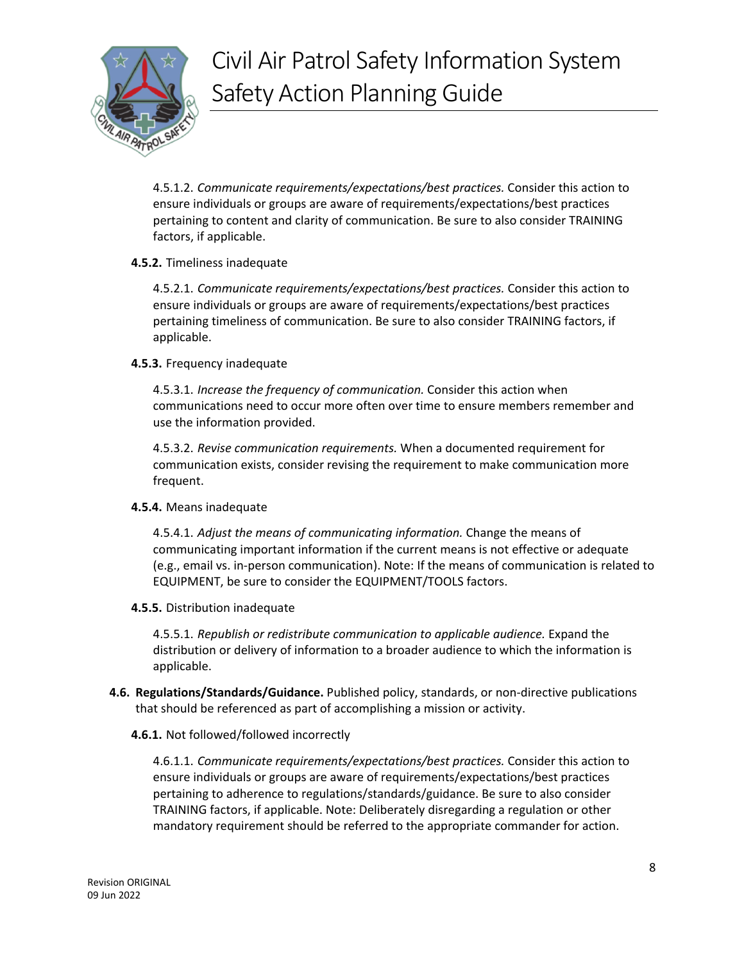

4.5.1.2. *Communicate requirements/expectations/best practices.* Consider this action to ensure individuals or groups are aware of requirements/expectations/best practices pertaining to content and clarity of communication. Be sure to also consider TRAINING factors, if applicable.

#### **4.5.2.** Timeliness inadequate

4.5.2.1. *Communicate requirements/expectations/best practices.* Consider this action to ensure individuals or groups are aware of requirements/expectations/best practices pertaining timeliness of communication. Be sure to also consider TRAINING factors, if applicable.

#### **4.5.3.** Frequency inadequate

4.5.3.1. *Increase the frequency of communication.* Consider this action when communications need to occur more often over time to ensure members remember and use the information provided.

4.5.3.2. *Revise communication requirements.* When a documented requirement for communication exists, consider revising the requirement to make communication more frequent.

### **4.5.4.** Means inadequate

4.5.4.1. *Adjust the means of communicating information.* Change the means of communicating important information if the current means is not effective or adequate (e.g., email vs. in-person communication). Note: If the means of communication is related to EQUIPMENT, be sure to consider the EQUIPMENT/TOOLS factors.

### **4.5.5.** Distribution inadequate

4.5.5.1. *Republish or redistribute communication to applicable audience.* Expand the distribution or delivery of information to a broader audience to which the information is applicable.

**4.6. Regulations/Standards/Guidance.** Published policy, standards, or non-directive publications that should be referenced as part of accomplishing a mission or activity.

### **4.6.1.** Not followed/followed incorrectly

4.6.1.1. *Communicate requirements/expectations/best practices.* Consider this action to ensure individuals or groups are aware of requirements/expectations/best practices pertaining to adherence to regulations/standards/guidance. Be sure to also consider TRAINING factors, if applicable. Note: Deliberately disregarding a regulation or other mandatory requirement should be referred to the appropriate commander for action.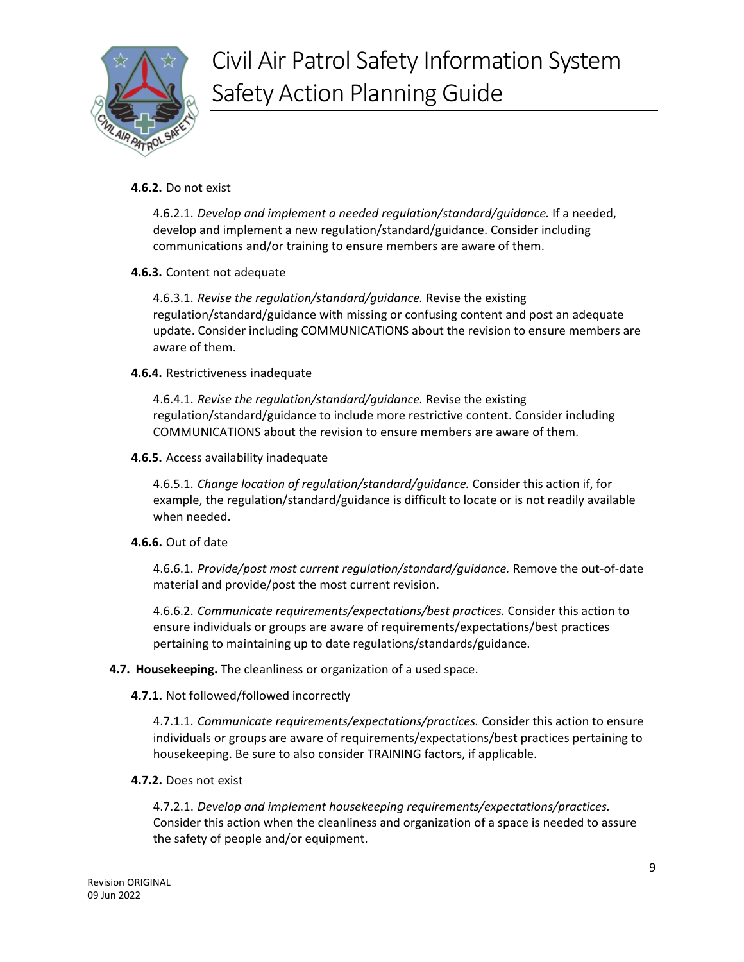

#### **4.6.2.** Do not exist

4.6.2.1. *Develop and implement a needed regulation/standard/guidance.* If a needed, develop and implement a new regulation/standard/guidance. Consider including communications and/or training to ensure members are aware of them.

#### **4.6.3.** Content not adequate

4.6.3.1. *Revise the regulation/standard/guidance.* Revise the existing regulation/standard/guidance with missing or confusing content and post an adequate update. Consider including COMMUNICATIONS about the revision to ensure members are aware of them.

#### **4.6.4.** Restrictiveness inadequate

4.6.4.1. *Revise the regulation/standard/guidance.* Revise the existing regulation/standard/guidance to include more restrictive content. Consider including COMMUNICATIONS about the revision to ensure members are aware of them.

#### **4.6.5.** Access availability inadequate

4.6.5.1. *Change location of regulation/standard/guidance.* Consider this action if, for example, the regulation/standard/guidance is difficult to locate or is not readily available when needed.

#### **4.6.6.** Out of date

4.6.6.1. *Provide/post most current regulation/standard/guidance.* Remove the out-of-date material and provide/post the most current revision.

4.6.6.2. *Communicate requirements/expectations/best practices.* Consider this action to ensure individuals or groups are aware of requirements/expectations/best practices pertaining to maintaining up to date regulations/standards/guidance.

### **4.7. Housekeeping.** The cleanliness or organization of a used space.

#### **4.7.1.** Not followed/followed incorrectly

4.7.1.1. *Communicate requirements/expectations/practices.* Consider this action to ensure individuals or groups are aware of requirements/expectations/best practices pertaining to housekeeping. Be sure to also consider TRAINING factors, if applicable.

#### **4.7.2.** Does not exist

4.7.2.1. *Develop and implement housekeeping requirements/expectations/practices.*  Consider this action when the cleanliness and organization of a space is needed to assure the safety of people and/or equipment.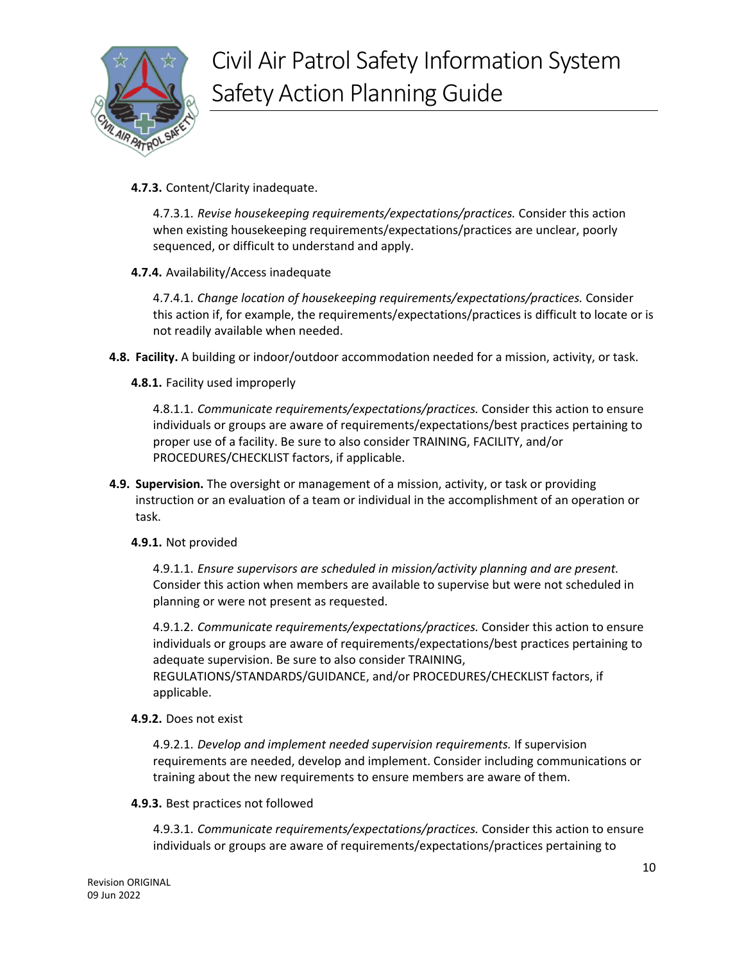

**4.7.3.** Content/Clarity inadequate.

4.7.3.1. *Revise housekeeping requirements/expectations/practices.* Consider this action when existing housekeeping requirements/expectations/practices are unclear, poorly sequenced, or difficult to understand and apply.

**4.7.4.** Availability/Access inadequate

4.7.4.1. *Change location of housekeeping requirements/expectations/practices.* Consider this action if, for example, the requirements/expectations/practices is difficult to locate or is not readily available when needed.

- **4.8. Facility.** A building or indoor/outdoor accommodation needed for a mission, activity, or task.
	- **4.8.1.** Facility used improperly

4.8.1.1. *Communicate requirements/expectations/practices.* Consider this action to ensure individuals or groups are aware of requirements/expectations/best practices pertaining to proper use of a facility. Be sure to also consider TRAINING, FACILITY, and/or PROCEDURES/CHECKLIST factors, if applicable.

**4.9. Supervision.** The oversight or management of a mission, activity, or task or providing instruction or an evaluation of a team or individual in the accomplishment of an operation or task.

#### **4.9.1.** Not provided

4.9.1.1. *Ensure supervisors are scheduled in mission/activity planning and are present.*  Consider this action when members are available to supervise but were not scheduled in planning or were not present as requested.

4.9.1.2. *Communicate requirements/expectations/practices.* Consider this action to ensure individuals or groups are aware of requirements/expectations/best practices pertaining to adequate supervision. Be sure to also consider TRAINING, REGULATIONS/STANDARDS/GUIDANCE, and/or PROCEDURES/CHECKLIST factors, if applicable.

**4.9.2.** Does not exist

4.9.2.1. *Develop and implement needed supervision requirements.* If supervision requirements are needed, develop and implement. Consider including communications or training about the new requirements to ensure members are aware of them.

**4.9.3.** Best practices not followed

4.9.3.1. *Communicate requirements/expectations/practices.* Consider this action to ensure individuals or groups are aware of requirements/expectations/practices pertaining to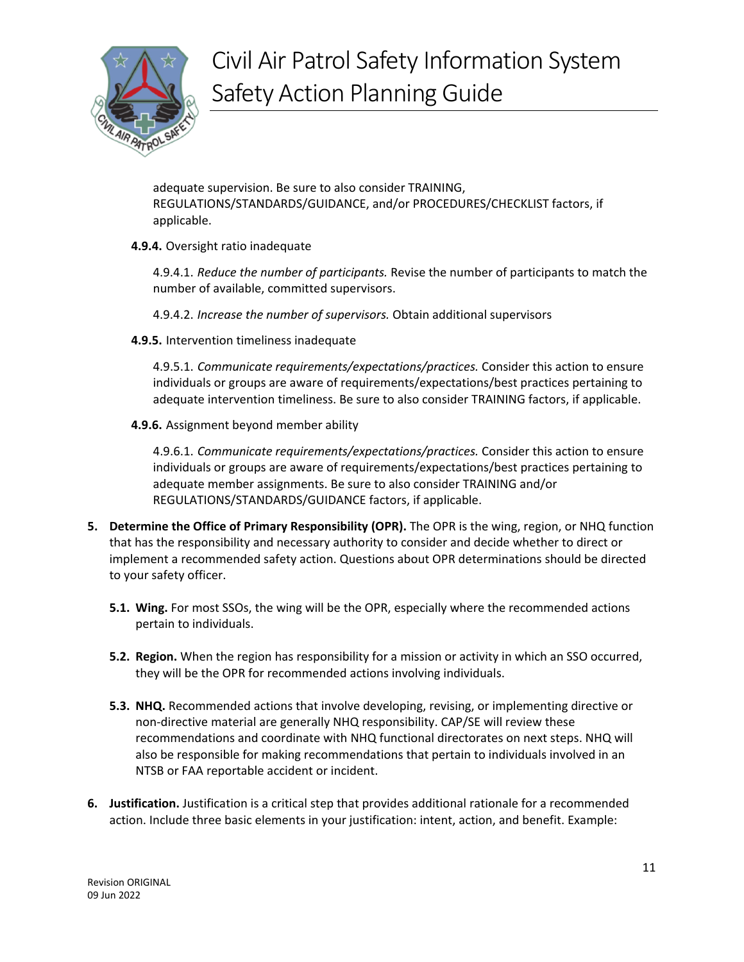

adequate supervision. Be sure to also consider TRAINING, REGULATIONS/STANDARDS/GUIDANCE, and/or PROCEDURES/CHECKLIST factors, if applicable.

**4.9.4.** Oversight ratio inadequate

4.9.4.1. *Reduce the number of participants.* Revise the number of participants to match the number of available, committed supervisors.

- 4.9.4.2. *Increase the number of supervisors.* Obtain additional supervisors
- **4.9.5.** Intervention timeliness inadequate

4.9.5.1. *Communicate requirements/expectations/practices.* Consider this action to ensure individuals or groups are aware of requirements/expectations/best practices pertaining to adequate intervention timeliness. Be sure to also consider TRAINING factors, if applicable.

**4.9.6.** Assignment beyond member ability

4.9.6.1. *Communicate requirements/expectations/practices.* Consider this action to ensure individuals or groups are aware of requirements/expectations/best practices pertaining to adequate member assignments. Be sure to also consider TRAINING and/or REGULATIONS/STANDARDS/GUIDANCE factors, if applicable.

- <span id="page-10-0"></span>**5. Determine the Office of Primary Responsibility (OPR).** The OPR is the wing, region, or NHQ function that has the responsibility and necessary authority to consider and decide whether to direct or implement a recommended safety action. Questions about OPR determinations should be directed to your safety officer.
	- **5.1. Wing.** For most SSOs, the wing will be the OPR, especially where the recommended actions pertain to individuals.
	- **5.2. Region.** When the region has responsibility for a mission or activity in which an SSO occurred, they will be the OPR for recommended actions involving individuals.
	- **5.3. NHQ.** Recommended actions that involve developing, revising, or implementing directive or non-directive material are generally NHQ responsibility. CAP/SE will review these recommendations and coordinate with NHQ functional directorates on next steps. NHQ will also be responsible for making recommendations that pertain to individuals involved in an NTSB or FAA reportable accident or incident.
- <span id="page-10-1"></span>**6. Justification.** Justification is a critical step that provides additional rationale for a recommended action. Include three basic elements in your justification: intent, action, and benefit. Example: